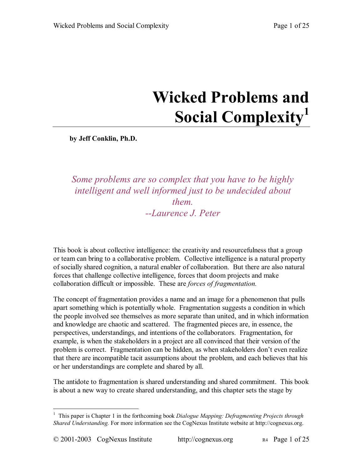# **Wicked Problems and Social Complexity[1](#page-0-0)**

**by Jeff Conklin, Ph.D.** 

*Some problems are so complex that you have to be highly intelligent and well informed just to be undecided about them. --Laurence J. Peter* 

This book is about collective intelligence: the creativity and resourcefulness that a group or team can bring to a collaborative problem. Collective intelligence is a natural property of socially shared cognition, a natural enabler of collaboration. But there are also natural forces that challenge collective intelligence, forces that doom projects and make collaboration difficult or impossible. These are *forces of fragmentation.*

The concept of fragmentation provides a name and an image for a phenomenon that pulls apart something which is potentially whole. Fragmentation suggests a condition in which the people involved see themselves as more separate than united, and in which information and knowledge are chaotic and scattered. The fragmented pieces are, in essence, the perspectives, understandings, and intentions of the collaborators. Fragmentation, for example, is when the stakeholders in a project are all convinced that their version of the problem is correct. Fragmentation can be hidden, as when stakeholders don't even realize that there are incompatible tacit assumptions about the problem, and each believes that his or her understandings are complete and shared by all.

The antidote to fragmentation is shared understanding and shared commitment. This book is about a new way to create shared understanding, and this chapter sets the stage by

 $\overline{a}$ 

<span id="page-0-0"></span><sup>&</sup>lt;sup>1</sup> This paper is Chapter 1 in the forthcoming book *Dialogue Mapping: Defragmenting Projects through Shared Understanding.* For more information see the CogNexus Institute website at http://cognexus.org.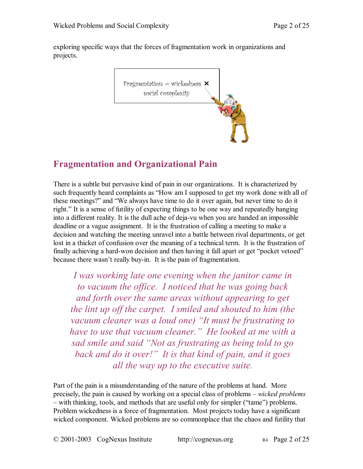exploring specific ways that the forces of fragmentation work in organizations and projects.



## **Fragmentation and Organizational Pain**

There is a subtle but pervasive kind of pain in our organizations. It is characterized by such frequently heard complaints as "How am I supposed to get my work done with all of these meetings?" and "We always have time to do it over again, but never time to do it right." It is a sense of futility of expecting things to be one way and repeatedly banging into a different reality. It is the dull ache of deja-vu when you are handed an impossible deadline or a vague assignment. It is the frustration of calling a meeting to make a decision and watching the meeting unravel into a battle between rival departments, or get lost in a thicket of confusion over the meaning of a technical term. It is the frustration of finally achieving a hard-won decision and then having it fall apart or get "pocket vetoed" because there wasn't really buy-in. It is the pain of fragmentation.

*I was working late one evening when the janitor came in to vacuum the office. I noticed that he was going back and forth over the same areas without appearing to get the lint up off the carpet. I smiled and shouted to him (the vacuum cleaner was a loud one) "It must be frustrating to have to use that vacuum cleaner." He looked at me with a sad smile and said "Not as frustrating as being told to go back and do it over!" It is that kind of pain, and it goes all the way up to the executive suite.* 

Part of the pain is a misunderstanding of the nature of the problems at hand. More precisely, the pain is caused by working on a special class of problems – *wicked problems* – with thinking, tools, and methods that are useful only for simpler ("tame") problems. Problem wickedness is a force of fragmentation. Most projects today have a significant wicked component. Wicked problems are so commonplace that the chaos and futility that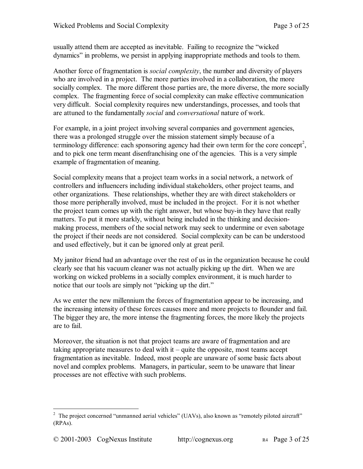usually attend them are accepted as inevitable. Failing to recognize the "wicked dynamics" in problems, we persist in applying inappropriate methods and tools to them.

Another force of fragmentation is *social complexity*, the number and diversity of players who are involved in a project. The more parties involved in a collaboration, the more socially complex. The more different those parties are, the more diverse, the more socially complex. The fragmenting force of social complexity can make effective communication very difficult. Social complexity requires new understandings, processes, and tools that are attuned to the fundamentally *social* and *conversational* nature of work.

For example, in a joint project involving several companies and government agencies, there was a prolonged struggle over the mission statement simply because of a terminology difference: each sponsoring agency had their own term for the core concept<sup>[2](#page-2-0)</sup>, and to pick one term meant disenfranchising one of the agencies. This is a very simple example of fragmentation of meaning.

Social complexity means that a project team works in a social network, a network of controllers and influencers including individual stakeholders, other project teams, and other organizations. These relationships, whether they are with direct stakeholders or those more peripherally involved, must be included in the project. For it is not whether the project team comes up with the right answer, but whose buy-in they have that really matters. To put it more starkly, without being included in the thinking and decisionmaking process, members of the social network may seek to undermine or even sabotage the project if their needs are not considered. Social complexity can be can be understood and used effectively, but it can be ignored only at great peril.

My janitor friend had an advantage over the rest of us in the organization because he could clearly see that his vacuum cleaner was not actually picking up the dirt. When we are working on wicked problems in a socially complex environment, it is much harder to notice that our tools are simply not "picking up the dirt."

As we enter the new millennium the forces of fragmentation appear to be increasing, and the increasing intensity of these forces causes more and more projects to flounder and fail. The bigger they are, the more intense the fragmenting forces, the more likely the projects are to fail.

Moreover, the situation is not that project teams are aware of fragmentation and are taking appropriate measures to deal with it – quite the opposite, most teams accept fragmentation as inevitable. Indeed, most people are unaware of some basic facts about novel and complex problems. Managers, in particular, seem to be unaware that linear processes are not effective with such problems.

<span id="page-2-0"></span><sup>&</sup>lt;sup>2</sup> The project concerned "unmanned aerial vehicles" (UAVs), also known as "remotely piloted aircraft" (RPAs).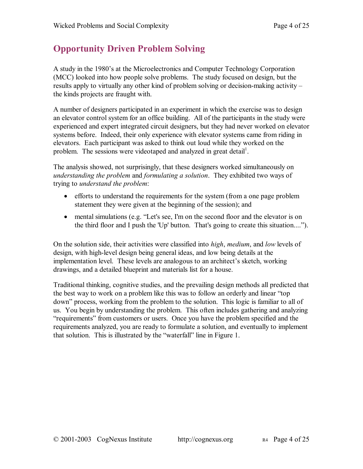## **Opportunity Driven Problem Solving**

A study in the 1980's at the Microelectronics and Computer Technology Corporation (MCC) looked into how people solve problems. The study focused on design, but the results apply to virtually any other kind of problem solving or decision-making activity – the kinds projects are fraught with.

A number of designers participated in an experiment in which the exercise was to design an elevator control system for an office building. All of the participants in the study were experienced and expert integrated circuit designers, but they had never worked on elevator systems before. Indeed, their only experience with elevator systems came from riding in elevators. Each participant was asked to think out loud while they worked on the problem. The sessions were videotaped and analyzed in great detail<sup>1</sup>.

The analysis showed, not surprisingly, that these designers worked simultaneously on *understanding the problem* and *formulating a solution*. They exhibited two ways of trying to *understand the problem*:

- efforts to understand the requirements for the system (from a one page problem statement they were given at the beginning of the session); and
- mental simulations (e.g. "Let's see, I'm on the second floor and the elevator is on the third floor and I push the 'Up' button. That's going to create this situation....").

On the solution side, their activities were classified into *high*, *medium*, and *low* levels of design, with high-level design being general ideas, and low being details at the implementation level. These levels are analogous to an architect's sketch, working drawings, and a detailed blueprint and materials list for a house.

Traditional thinking, cognitive studies, and the prevailing design methods all predicted that the best way to work on a problem like this was to follow an orderly and linear "top down" process, working from the problem to the solution. This logic is familiar to all of us. You begin by understanding the problem. This often includes gathering and analyzing "requirements" from customers or users. Once you have the problem specified and the requirements analyzed, you are ready to formulate a solution, and eventually to implement that solution. This is illustrated by the "waterfall" line in [Figure 1.](#page-4-0)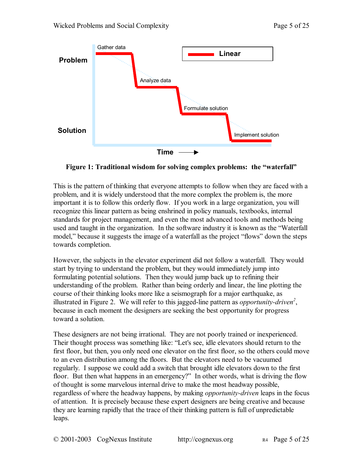<span id="page-4-0"></span>

**Figure 1: Traditional wisdom for solving complex problems: the "waterfall"**

This is the pattern of thinking that everyone attempts to follow when they are faced with a problem, and it is widely understood that the more complex the problem is, the more important it is to follow this orderly flow. If you work in a large organization, you will recognize this linear pattern as being enshrined in policy manuals, textbooks, internal standards for project management, and even the most advanced tools and methods being used and taught in the organization. In the software industry it is known as the "Waterfall model," because it suggests the image of a waterfall as the project "flows" down the steps towards completion.

However, the subjects in the elevator experiment did not follow a waterfall. They would start by trying to understand the problem, but they would immediately jump into formulating potential solutions. Then they would jump back up to refining their understanding of the problem. Rather than being orderly and linear, the line plotting the course of their thinking looks more like a seismograph for a major earthquake, as illustrated in [Figure 2.](#page-5-0) We will refer to this jagged-line pattern as *opportunity-driven [2](#page-24-1)* , because in each moment the designers are seeking the best opportunity for progress toward a solution.

These designers are not being irrational. They are not poorly trained or inexperienced. Their thought process was something like: "Let's see, idle elevators should return to the first floor, but then, you only need one elevator on the first floor, so the others could move to an even distribution among the floors. But the elevators need to be vacuumed regularly. I suppose we could add a switch that brought idle elevators down to the first floor. But then what happens in an emergency?" In other words, what is driving the flow of thought is some marvelous internal drive to make the most headway possible, regardless of where the headway happens, by making *opportunity-driven* leaps in the focus of attention. It is precisely because these expert designers are being creative and because they are learning rapidly that the trace of their thinking pattern is full of unpredictable leaps.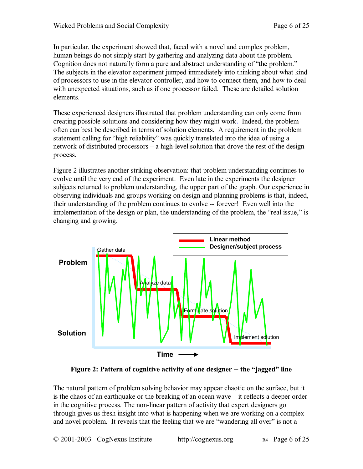In particular, the experiment showed that, faced with a novel and complex problem, human beings do not simply start by gathering and analyzing data about the problem. Cognition does not naturally form a pure and abstract understanding of "the problem." The subjects in the elevator experiment jumped immediately into thinking about what kind of processors to use in the elevator controller, and how to connect them, and how to deal with unexpected situations, such as if one processor failed. These are detailed solution elements.

These experienced designers illustrated that problem understanding can only come from creating possible solutions and considering how they might work. Indeed, the problem often can best be described in terms of solution elements. A requirement in the problem statement calling for "high reliability" was quickly translated into the idea of using a network of distributed processors – a high-level solution that drove the rest of the design process.

[Figure 2](#page-5-0) illustrates another striking observation: that problem understanding continues to evolve until the very end of the experiment. Even late in the experiments the designer subjects returned to problem understanding, the upper part of the graph. Our experience in observing individuals and groups working on design and planning problems is that, indeed, their understanding of the problem continues to evolve -- forever! Even well into the implementation of the design or plan, the understanding of the problem, the "real issue," is changing and growing.



<span id="page-5-0"></span>**Figure 2: Pattern of cognitive activity of one designer -- the "jagged" line** 

The natural pattern of problem solving behavior may appear chaotic on the surface, but it is the chaos of an earthquake or the breaking of an ocean wave – it reflects a deeper order in the cognitive process. The non-linear pattern of activity that expert designers go through gives us fresh insight into what is happening when we are working on a complex and novel problem. It reveals that the feeling that we are "wandering all over" is not a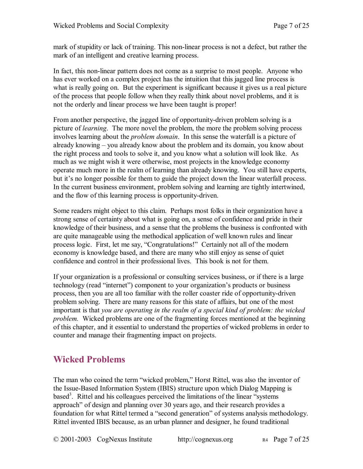mark of stupidity or lack of training. This non-linear process is not a defect, but rather the mark of an intelligent and creative learning process.

In fact, this non-linear pattern does not come as a surprise to most people. Anyone who has ever worked on a complex project has the intuition that this jagged line process is what is really going on. But the experiment is significant because it gives us a real picture of the process that people follow when they really think about novel problems, and it is not the orderly and linear process we have been taught is proper!

From another perspective, the jagged line of opportunity-driven problem solving is a picture of *learning*. The more novel the problem, the more the problem solving process involves learning about the *problem domain*. In this sense the waterfall is a picture of already knowing – you already know about the problem and its domain, you know about the right process and tools to solve it, and you know what a solution will look like. As much as we might wish it were otherwise, most projects in the knowledge economy operate much more in the realm of learning than already knowing. You still have experts, but it's no longer possible for them to guide the project down the linear waterfall process. In the current business environment, problem solving and learning are tightly intertwined, and the flow of this learning process is opportunity-driven.

Some readers might object to this claim. Perhaps most folks in their organization have a strong sense of certainty about what is going on, a sense of confidence and pride in their knowledge of their business, and a sense that the problems the business is confronted with are quite manageable using the methodical application of well known rules and linear process logic. First, let me say, "Congratulations!" Certainly not all of the modern economy is knowledge based, and there are many who still enjoy as sense of quiet confidence and control in their professional lives. This book is not for them.

If your organization is a professional or consulting services business, or if there is a large technology (read "internet") component to your organization's products or business process, then you are all too familiar with the roller coaster ride of opportunity-driven problem solving. There are many reasons for this state of affairs, but one of the most important is that *you are operating in the realm of a special kind of problem: the wicked problem.* Wicked problems are one of the fragmenting forces mentioned at the beginning of this chapter, and it essential to understand the properties of wicked problems in order to counter and manage their fragmenting impact on projects.

#### **Wicked Problems**

The man who coined the term "wicked problem," Horst Rittel, was also the inventor of the Issue-Based Information System (IBIS) structure upon which Dialog Mapping is based<sup>[3](#page-24-2)</sup>. Rittel and his colleagues perceived the limitations of the linear "systems" approach" of design and planning over 30 years ago, and their research provides a foundation for what Rittel termed a "second generation" of systems analysis methodology. Rittel invented IBIS because, as an urban planner and designer, he found traditional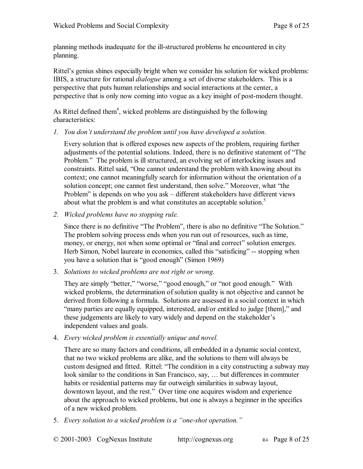planning methods inadequate for the ill-structured problems he encountered in city planning.

Rittel's genius shines especially bright when we consider his solution for wicked problems: IBIS, a structure for rational *dialogue* among a set of diverse stakeholders. This is a perspective that puts human relationships and social interactions at the center, a perspective that is only now coming into vogue as a key insight of post-modern thought.

As Rittel defined them<sup>4</sup>, wicked problems are distinguished by the following characteristics:

*1. You don't understand the problem until you have developed a solution.* 

Every solution that is offered exposes new aspects of the problem, requiring further adjustments of the potential solutions. Indeed, there is no definitive statement of "The Problem." The problem is ill structured, an evolving set of interlocking issues and constraints. Rittel said, "One cannot understand the problem with knowing about its context; one cannot meaningfully search for information without the orientation of a solution concept; one cannot first understand, then solve." Moreover, what "the Problem" is depends on who you ask – different stakeholders have different views about what the problem is and what constitutes an acceptable solution.<sup>[5](#page-24-3)</sup>

*2. Wicked problems have no stopping rule.* 

Since there is no definitive "The Problem", there is also no definitive "The Solution." The problem solving process ends when you run out of resources, such as time, money, or energy, not when some optimal or "final and correct" solution emerges. Herb Simon, Nobel laureate in economics, called this "satisficing" -- stopping when you have a solution that is "good enough" (Simon 1969)

3. *Solutions to wicked problems are not right or wrong*.

They are simply "better," "worse," "good enough," or "not good enough." With wicked problems, the determination of solution quality is not objective and cannot be derived from following a formula. Solutions are assessed in a social context in which "many parties are equally equipped, interested, and/or entitled to judge [them]," and these judgements are likely to vary widely and depend on the stakeholder's independent values and goals.

4. *Every wicked problem is essentially unique and novel.*

There are so many factors and conditions, all embedded in a dynamic social context, that no two wicked problems are alike, and the solutions to them will always be custom designed and fitted. Rittel: "The condition in a city constructing a subway may look similar to the conditions in San Francisco, say, … but differences in commuter habits or residential patterns may far outweigh similarities in subway layout, downtown layout, and the rest." Over time one acquires wisdom and experience about the approach to wicked problems, but one is always a beginner in the specifics of a new wicked problem.

5. *Every solution to a wicked problem is a "one-shot operation."*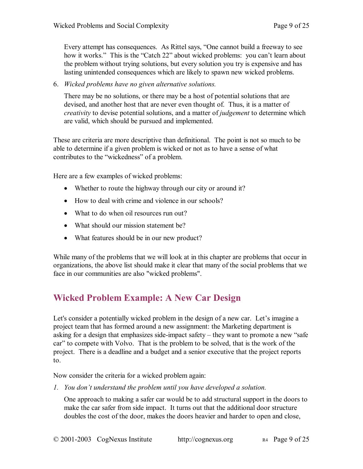Every attempt has consequences. As Rittel says, "One cannot build a freeway to see how it works." This is the "Catch 22" about wicked problems: you can't learn about the problem without trying solutions, but every solution you try is expensive and has lasting unintended consequences which are likely to spawn new wicked problems.

6. *Wicked problems have no given alternative solutions.*

There may be no solutions, or there may be a host of potential solutions that are devised, and another host that are never even thought of. Thus, it is a matter of *creativity* to devise potential solutions, and a matter of *judgement* to determine which are valid, which should be pursued and implemented.

These are criteria are more descriptive than definitional. The point is not so much to be able to determine if a given problem is wicked or not as to have a sense of what contributes to the "wickedness" of a problem.

Here are a few examples of wicked problems:

- Whether to route the highway through our city or around it?
- How to deal with crime and violence in our schools?
- What to do when oil resources run out?
- What should our mission statement be?
- What features should be in our new product?

While many of the problems that we will look at in this chapter are problems that occur in organizations, the above list should make it clear that many of the social problems that we face in our communities are also "wicked problems".

# **Wicked Problem Example: A New Car Design**

Let's consider a potentially wicked problem in the design of a new car. Let's imagine a project team that has formed around a new assignment: the Marketing department is asking for a design that emphasizes side-impact safety – they want to promote a new "safe car" to compete with Volvo. That is the problem to be solved, that is the work of the project. There is a deadline and a budget and a senior executive that the project reports to.

Now consider the criteria for a wicked problem again:

*1. You don't understand the problem until you have developed a solution.* 

One approach to making a safer car would be to add structural support in the doors to make the car safer from side impact. It turns out that the additional door structure doubles the cost of the door, makes the doors heavier and harder to open and close,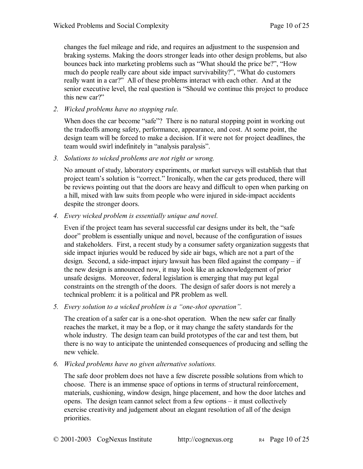changes the fuel mileage and ride, and requires an adjustment to the suspension and braking systems. Making the doors stronger leads into other design problems, but also bounces back into marketing problems such as "What should the price be?", "How much do people really care about side impact survivability?", "What do customers really want in a car?" All of these problems interact with each other. And at the senior executive level, the real question is "Should we continue this project to produce this new car?"

*2. Wicked problems have no stopping rule.* 

When does the car become "safe"? There is no natural stopping point in working out the tradeoffs among safety, performance, appearance, and cost. At some point, the design team will be forced to make a decision. If it were not for project deadlines, the team would swirl indefinitely in "analysis paralysis".

*3. Solutions to wicked problems are not right or wrong.* 

No amount of study, laboratory experiments, or market surveys will establish that that project team's solution is "correct." Ironically, when the car gets produced, there will be reviews pointing out that the doors are heavy and difficult to open when parking on a hill, mixed with law suits from people who were injured in side-impact accidents despite the stronger doors.

*4. Every wicked problem is essentially unique and novel.* 

Even if the project team has several successful car designs under its belt, the "safe door" problem is essentially unique and novel, because of the configuration of issues and stakeholders. First, a recent study by a consumer safety organization suggests that side impact injuries would be reduced by side air bags, which are not a part of the design. Second, a side-impact injury lawsuit has been filed against the company – if the new design is announced now, it may look like an acknowledgement of prior unsafe designs. Moreover, federal legislation is emerging that may put legal constraints on the strength of the doors. The design of safer doors is not merely a technical problem: it is a political and PR problem as well.

*5. Every solution to a wicked problem is a "one-shot operation".* 

The creation of a safer car is a one-shot operation. When the new safer car finally reaches the market, it may be a flop, or it may change the safety standards for the whole industry. The design team can build prototypes of the car and test them, but there is no way to anticipate the unintended consequences of producing and selling the new vehicle.

*6. Wicked problems have no given alternative solutions.* 

The safe door problem does not have a few discrete possible solutions from which to choose. There is an immense space of options in terms of structural reinforcement, materials, cushioning, window design, hinge placement, and how the door latches and opens. The design team cannot select from a few options – it must collectively exercise creativity and judgement about an elegant resolution of all of the design priorities.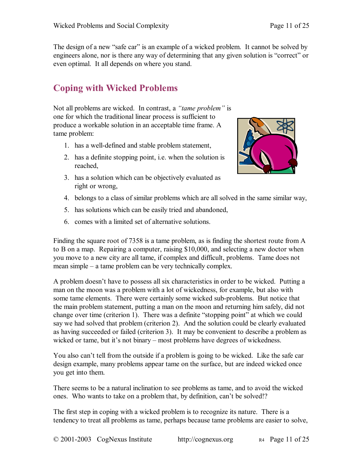The design of a new "safe car" is an example of a wicked problem. It cannot be solved by engineers alone, nor is there any way of determining that any given solution is "correct" or even optimal. It all depends on where you stand.

# **Coping with Wicked Problems**

Not all problems are wicked. In contrast, a *"tame problem"* is one for which the traditional linear process is sufficient to produce a workable solution in an acceptable time frame. A tame problem:

- 1. has a well-defined and stable problem statement,
- 2. has a definite stopping point, i.e. when the solution is reached,
- 3. has a solution which can be objectively evaluated as right or wrong,
- 4. belongs to a class of similar problems which are all solved in the same similar way,
- 5. has solutions which can be easily tried and abandoned,
- 6. comes with a limited set of alternative solutions.

Finding the square root of 7358 is a tame problem, as is finding the shortest route from A to B on a map. Repairing a computer, raising \$10,000, and selecting a new doctor when you move to a new city are all tame, if complex and difficult, problems. Tame does not mean simple – a tame problem can be very technically complex.

A problem doesn't have to possess all six characteristics in order to be wicked. Putting a man on the moon was a problem with a lot of wickedness, for example, but also with some tame elements. There were certainly some wicked sub-problems. But notice that the main problem statement, putting a man on the moon and returning him safely, did not change over time (criterion 1). There was a definite "stopping point" at which we could say we had solved that problem (criterion 2). And the solution could be clearly evaluated as having succeeded or failed (criterion 3). It may be convenient to describe a problem as wicked or tame, but it's not binary – most problems have degrees of wickedness.

You also can't tell from the outside if a problem is going to be wicked. Like the safe car design example, many problems appear tame on the surface, but are indeed wicked once you get into them.

There seems to be a natural inclination to see problems as tame, and to avoid the wicked ones. Who wants to take on a problem that, by definition, can't be solved!?

The first step in coping with a wicked problem is to recognize its nature. There is a tendency to treat all problems as tame, perhaps because tame problems are easier to solve,

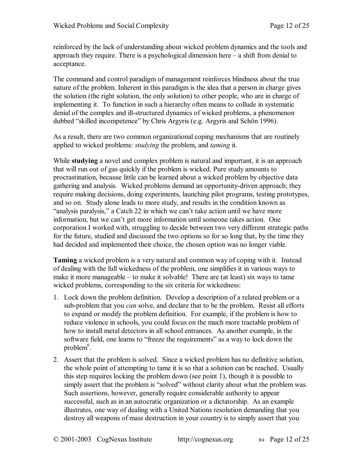reinforced by the lack of understanding about wicked problem dynamics and the tools and approach they require. There is a psychological dimension here  $-$  a shift from denial to acceptance.

The command and control paradigm of management reinforces blindness about the true nature of the problem. Inherent in this paradigm is the idea that a person in charge gives the solution (the right solution, the only solution) to other people, who are in charge of implementing it. To function in such a hierarchy often means to collude in systematic denial of the complex and ill-structured dynamics of wicked problems, a phenomenon dubbed "skilled incompetence" by Chris Argyris (e.g. Argyris and Schön 1996).

As a result, there are two common organizational coping mechanisms that are routinely applied to wicked problems: *studying* the problem, and *taming* it.

While **studying** a novel and complex problem is natural and important, it is an approach that will run out of gas quickly if the problem is wicked. Pure study amounts to procrastination, because little can be learned about a wicked problem by objective data gathering and analysis. Wicked problems demand an opportunity-driven approach; they require making decisions, doing experiments, launching pilot programs, testing prototypes, and so on. Study alone leads to more study, and results in the condition known as "analysis paralysis," a Catch 22 in which we can't take action until we have more information, but we can't get more information until someone takes action. One corporation I worked with, struggling to decide between two very different strategic paths for the future, studied and discussed the two options so for so long that, by the time they had decided and implemented their choice, the chosen option was no longer viable.

**Taming** a wicked problem is a very natural and common way of coping with it. Instead of dealing with the full wickedness of the problem, one simplifies it in various ways to make it more manageable – to make it solvable! There are (at least) six ways to tame wicked problems, corresponding to the six criteria for wickedness:

- 1. Lock down the problem definition. Develop a description of a related problem or a sub-problem that you *can* solve, and declare that to be the problem. Resist all efforts to expand or modify the problem definition. For example, if the problem is how to reduce violence in schools, you could focus on the much more tractable problem of how to install metal detectors in all school entrances. As another example, in the software field, one learns to "freeze the requirements" as a way to lock down the problem $6$ .
- 2. Assert that the problem is solved. Since a wicked problem has no definitive solution, the whole point of attempting to tame it is so that a solution can be reached. Usually this step requires locking the problem down (see point 1), though it is possible to simply assert that the problem is "solved" without clarity about what the problem was. Such assertions, however, generally require considerable authority to appear successful, such as in an autocratic organization or a dictatorship. As an example illustrates, one way of dealing with a United Nations resolution demanding that you destroy all weapons of mass destruction in your country is to simply assert that you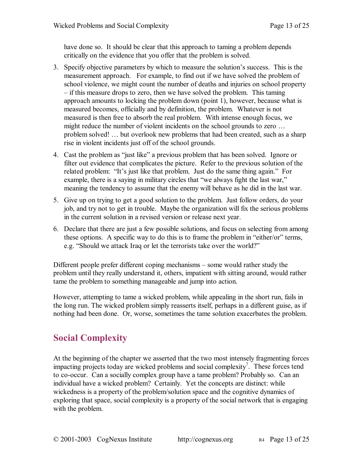have done so. It should be clear that this approach to taming a problem depends critically on the evidence that you offer that the problem is solved.

- 3. Specify objective parameters by which to measure the solution's success. This is the measurement approach. For example, to find out if we have solved the problem of school violence, we might count the number of deaths and injuries on school property – if this measure drops to zero, then we have solved the problem. This taming approach amounts to locking the problem down (point 1), however, because what is measured becomes, officially and by definition, the problem. Whatever is not measured is then free to absorb the real problem. With intense enough focus, we might reduce the number of violent incidents on the school grounds to zero … problem solved! … but overlook new problems that had been created, such as a sharp rise in violent incidents just off of the school grounds.
- 4. Cast the problem as "just like" a previous problem that has been solved. Ignore or filter out evidence that complicates the picture. Refer to the previous solution of the related problem: "It's just like that problem. Just do the same thing again." For example, there is a saying in military circles that "we always fight the last war," meaning the tendency to assume that the enemy will behave as he did in the last war.
- 5. Give up on trying to get a good solution to the problem. Just follow orders, do your job, and try not to get in trouble. Maybe the organization will fix the serious problems in the current solution in a revised version or release next year.
- 6. Declare that there are just a few possible solutions, and focus on selecting from among these options. A specific way to do this is to frame the problem in "either/or" terms, e.g. "Should we attack Iraq or let the terrorists take over the world?"

Different people prefer different coping mechanisms – some would rather study the problem until they really understand it, others, impatient with sitting around, would rather tame the problem to something manageable and jump into action.

However, attempting to tame a wicked problem, while appealing in the short run, fails in the long run. The wicked problem simply reasserts itself, perhaps in a different guise, as if nothing had been done. Or, worse, sometimes the tame solution exacerbates the problem.

# **Social Complexity**

At the beginning of the chapter we asserted that the two most intensely fragmenting forces impacting projects today are wicked problems and social complexity<sup>7</sup>. These forces tend to co-occur. Can a socially complex group have a tame problem? Probably so. Can an individual have a wicked problem? Certainly. Yet the concepts are distinct: while wickedness is a property of the problem/solution space and the cognitive dynamics of exploring that space, social complexity is a property of the social network that is engaging with the problem.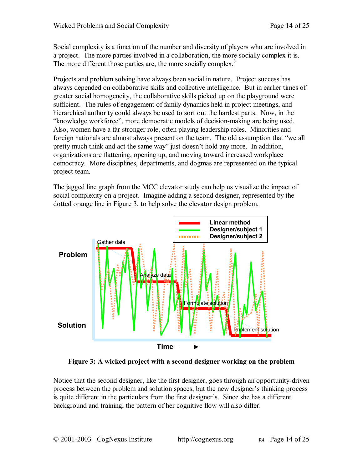Social complexity is a function of the number and diversity of players who are involved in a project. The more parties involved in a collaboration, the more socially complex it is. The more different those parties are, the more socially complex.<sup>[8](#page-24-6)</sup>

Projects and problem solving have always been social in nature. Project success has always depended on collaborative skills and collective intelligence. But in earlier times of greater social homogeneity, the collaborative skills picked up on the playground were sufficient. The rules of engagement of family dynamics held in project meetings, and hierarchical authority could always be used to sort out the hardest parts. Now, in the "knowledge workforce", more democratic models of decision-making are being used. Also, women have a far stronger role, often playing leadership roles. Minorities and foreign nationals are almost always present on the team. The old assumption that "we all pretty much think and act the same way" just doesn't hold any more. In addition, organizations are flattening, opening up, and moving toward increased workplace democracy. More disciplines, departments, and dogmas are represented on the typical project team.

The jagged line graph from the MCC elevator study can help us visualize the impact of social complexity on a project. Imagine adding a second designer, represented by the dotted orange line in [Figure 3,](#page-13-0) to help solve the elevator design problem.



<span id="page-13-0"></span>**Figure 3: A wicked project with a second designer working on the problem**

Notice that the second designer, like the first designer, goes through an opportunity-driven process between the problem and solution spaces, but the new designer's thinking process is quite different in the particulars from the first designer's. Since she has a different background and training, the pattern of her cognitive flow will also differ.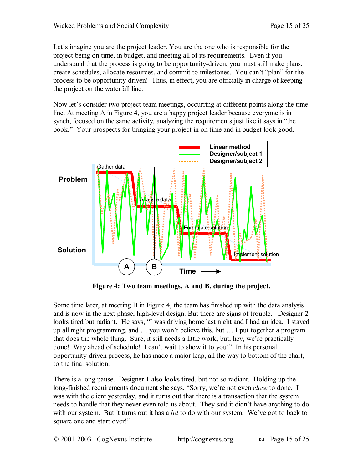Let's imagine you are the project leader. You are the one who is responsible for the project being on time, in budget, and meeting all of its requirements. Even if you understand that the process is going to be opportunity-driven, you must still make plans, create schedules, allocate resources, and commit to milestones. You can't "plan" for the process to be opportunity-driven! Thus, in effect, you are officially in charge of keeping the project on the waterfall line.

Now let's consider two project team meetings, occurring at different points along the time line. At meeting A in [Figure 4,](#page-14-0) you are a happy project leader because everyone is in synch, focused on the same activity, analyzing the requirements just like it says in "the book." Your prospects for bringing your project in on time and in budget look good.



<span id="page-14-0"></span>**Figure 4: Two team meetings, A and B, during the project.**

Some time later, at meeting B in [Figure 4,](#page-14-0) the team has finished up with the data analysis and is now in the next phase, high-level design. But there are signs of trouble. Designer 2 looks tired but radiant. He says, "I was driving home last night and I had an idea. I stayed up all night programming, and … you won't believe this, but … I put together a program that does the whole thing. Sure, it still needs a little work, but, hey, we're practically done! Way ahead of schedule! I can't wait to show it to you!" In his personal opportunity-driven process, he has made a major leap, all the way to bottom of the chart, to the final solution.

There is a long pause. Designer 1 also looks tired, but not so radiant. Holding up the long-finished requirements document she says, "Sorry, we're not even *close* to done. I was with the client yesterday, and it turns out that there is a transaction that the system needs to handle that they never even told us about. They said it didn't have anything to do with our system. But it turns out it has a *lot* to do with our system. We've got to back to square one and start over!"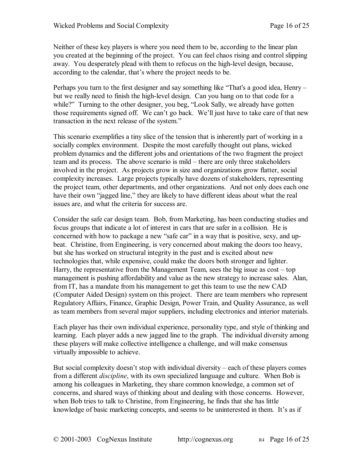Neither of these key players is where you need them to be, according to the linear plan you created at the beginning of the project. You can feel chaos rising and control slipping away. You desperately plead with them to refocus on the high-level design, because, according to the calendar, that's where the project needs to be.

Perhaps you turn to the first designer and say something like "That's a good idea, Henry – but we really need to finish the high-level design. Can you hang on to that code for a while?" Turning to the other designer, you beg, "Look Sally, we already have gotten those requirements signed off. We can't go back. We'll just have to take care of that new transaction in the next release of the system."

This scenario exemplifies a tiny slice of the tension that is inherently part of working in a socially complex environment. Despite the most carefully thought out plans, wicked problem dynamics and the different jobs and orientations of the two fragment the project team and its process. The above scenario is mild – there are only three stakeholders involved in the project. As projects grow in size and organizations grow flatter, social complexity increases. Large projects typically have dozens of stakeholders, representing the project team, other departments, and other organizations. And not only does each one have their own "jagged line," they are likely to have different ideas about what the real issues are, and what the criteria for success are.

Consider the safe car design team. Bob, from Marketing, has been conducting studies and focus groups that indicate a lot of interest in cars that are safer in a collision. He is concerned with how to package a new "safe car" in a way that is positive, sexy, and upbeat. Christine, from Engineering, is very concerned about making the doors too heavy, but she has worked on structural integrity in the past and is excited about new technologies that, while expensive, could make the doors both stronger and lighter. Harry, the representative from the Management Team, sees the big issue as cost – top management is pushing affordability and value as the new strategy to increase sales. Alan, from IT, has a mandate from his management to get this team to use the new CAD (Computer Aided Design) system on this project. There are team members who represent Regulatory Affairs, Finance, Graphic Design, Power Train, and Quality Assurance, as well as team members from several major suppliers, including electronics and interior materials.

Each player has their own individual experience, personality type, and style of thinking and learning. Each player adds a new jagged line to the graph. The individual diversity among these players will make collective intelligence a challenge, and will make consensus virtually impossible to achieve.

But social complexity doesn't stop with individual diversity – each of these players comes from a different *discipline*, with its own specialized language and culture. When Bob is among his colleagues in Marketing, they share common knowledge, a common set of concerns, and shared ways of thinking about and dealing with those concerns. However, when Bob tries to talk to Christine, from Engineering, he finds that she has little knowledge of basic marketing concepts, and seems to be uninterested in them. It's as if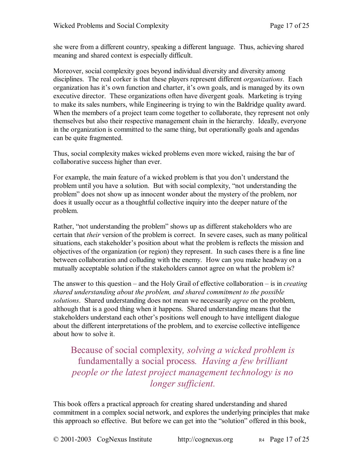she were from a different country, speaking a different language. Thus, achieving shared meaning and shared context is especially difficult.

Moreover, social complexity goes beyond individual diversity and diversity among disciplines. The real corker is that these players represent different *organizations*. Each organization has it's own function and charter, it's own goals, and is managed by its own executive director. These organizations often have divergent goals. Marketing is trying to make its sales numbers, while Engineering is trying to win the Baldridge quality award. When the members of a project team come together to collaborate, they represent not only themselves but also their respective management chain in the hierarchy. Ideally, everyone in the organization is committed to the same thing, but operationally goals and agendas can be quite fragmented.

Thus, social complexity makes wicked problems even more wicked, raising the bar of collaborative success higher than ever.

For example, the main feature of a wicked problem is that you don't understand the problem until you have a solution. But with social complexity, "not understanding the problem" does not show up as innocent wonder about the mystery of the problem, nor does it usually occur as a thoughtful collective inquiry into the deeper nature of the problem.

Rather, "not understanding the problem" shows up as different stakeholders who are certain that *their* version of the problem is correct. In severe cases, such as many political situations, each stakeholder's position about what the problem is reflects the mission and objectives of the organization (or region) they represent. In such cases there is a fine line between collaboration and colluding with the enemy. How can you make headway on a mutually acceptable solution if the stakeholders cannot agree on what the problem is?

The answer to this question – and the Holy Grail of effective collaboration – is in *creating shared understanding about the problem, and shared commitment to the possible solutions*. Shared understanding does not mean we necessarily *agree* on the problem, although that is a good thing when it happens. Shared understanding means that the stakeholders understand each other's positions well enough to have intelligent dialogue about the different interpretations of the problem, and to exercise collective intelligence about how to solve it.

Because of social complexity*, solving a wicked problem is*  fundamentally a social process*. Having a few brilliant people or the latest project management technology is no longer sufficient.* 

This book offers a practical approach for creating shared understanding and shared commitment in a complex social network, and explores the underlying principles that make this approach so effective. But before we can get into the "solution" offered in this book,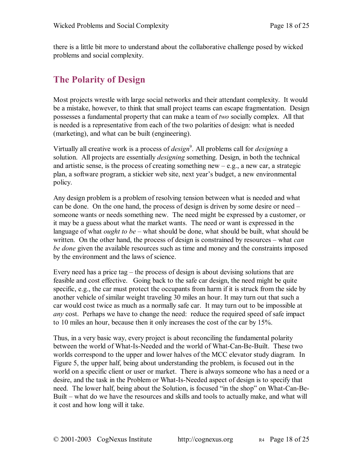there is a little bit more to understand about the collaborative challenge posed by wicked problems and social complexity.

## **The Polarity of Design**

Most projects wrestle with large social networks and their attendant complexity. It would be a mistake, however, to think that small project teams can escape fragmentation. Design possesses a fundamental property that can make a team of *two* socially complex. All that is needed is a representative from each of the two polarities of design: what is needed (marketing), and what can be built (engineering).

Virtually all creative work is a process of *design*<sup>9</sup>. All problems call for *designing* a solution. All projects are essentially *designing* something. Design, in both the technical and artistic sense, is the process of creating something new  $-e.g.,$  a new car, a strategic plan, a software program, a stickier web site, next year's budget, a new environmental policy.

Any design problem is a problem of resolving tension between what is needed and what can be done. On the one hand, the process of design is driven by some desire or need – someone wants or needs something new. The need might be expressed by a customer, or it may be a guess about what the market wants. The need or want is expressed in the language of what *ought to be* – what should be done, what should be built, what should be written. On the other hand, the process of design is constrained by resources – what *can be done* given the available resources such as time and money and the constraints imposed by the environment and the laws of science.

Every need has a price tag – the process of design is about devising solutions that are feasible and cost effective. Going back to the safe car design, the need might be quite specific, e.g., the car must protect the occupants from harm if it is struck from the side by another vehicle of similar weight traveling 30 miles an hour. It may turn out that such a car would cost twice as much as a normally safe car. It may turn out to be impossible at *any* cost. Perhaps we have to change the need: reduce the required speed of safe impact to 10 miles an hour, because then it only increases the cost of the car by 15%.

Thus, in a very basic way, every project is about reconciling the fundamental polarity between the world of What-Is-Needed and the world of What-Can-Be-Built. These two worlds correspond to the upper and lower halves of the MCC elevator study diagram. In [Figure 5,](#page-18-0) the upper half, being about understanding the problem, is focused out in the world on a specific client or user or market. There is always someone who has a need or a desire, and the task in the Problem or What-Is-Needed aspect of design is to specify that need. The lower half, being about the Solution, is focused "in the shop" on What-Can-Be-Built – what do we have the resources and skills and tools to actually make, and what will it cost and how long will it take.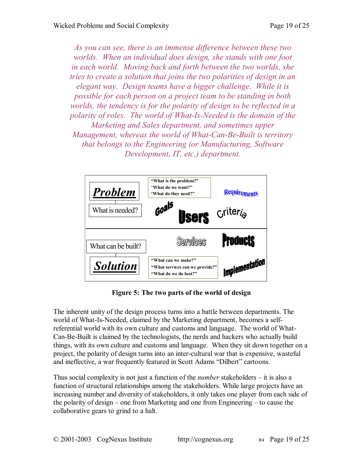*As you can see, there is an immense difference between these two worlds. When an individual does design, she stands with one foot in each world. Moving back and forth between the two worlds, she tries to create a solution that joins the two polarities of design in an elegant way. Design teams have a bigger challenge. While it is possible for each person on a project team to be standing in both worlds, the tendency is for the polarity of design to be reflected in a polarity of roles. The world of What-Is-Needed is the domain of the Marketing and Sales department, and sometimes upper Management, whereas the world of What-Can-Be-Built is territory that belongs to the Engineering (or Manufacturing, Software Development, IT, etc.) department.*



<span id="page-18-0"></span>**Figure 5: The two parts of the world of design** 

The inherent unity of the design process turns into a battle between departments. The world of What-Is-Needed, claimed by the Marketing department, becomes a selfreferential world with its own culture and customs and language. The world of What-Can-Be-Built is claimed by the technologists, the nerds and hackers who actually build things, with its own culture and customs and language. When they sit down together on a project, the polarity of design turns into an inter-cultural war that is expensive, wasteful and ineffective, a war frequently featured in Scott Adams "Dilbert" cartoons.

Thus social complexity is not just a function of the *number* stakeholders – it is also a function of structural relationships among the stakeholders. While large projects have an increasing number and diversity of stakeholders, it only takes one player from each side of the polarity of design – one from Marketing and one from Engineering – to cause the collaborative gears to grind to a halt.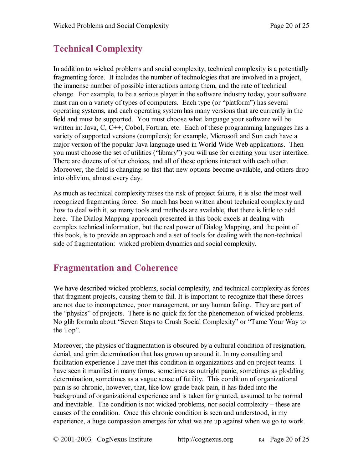# **Technical Complexity**

In addition to wicked problems and social complexity, technical complexity is a potentially fragmenting force. It includes the number of technologies that are involved in a project, the immense number of possible interactions among them, and the rate of technical change. For example, to be a serious player in the software industry today, your software must run on a variety of types of computers. Each type (or "platform") has several operating systems, and each operating system has many versions that are currently in the field and must be supported. You must choose what language your software will be written in: Java, C, C<sup>++</sup>, Cobol, Fortran, etc. Each of these programming languages has a variety of supported versions (compilers); for example, Microsoft and Sun each have a major version of the popular Java language used in World Wide Web applications. Then you must choose the set of utilities ("library") you will use for creating your user interface. There are dozens of other choices, and all of these options interact with each other. Moreover, the field is changing so fast that new options become available, and others drop into oblivion, almost every day.

As much as technical complexity raises the risk of project failure, it is also the most well recognized fragmenting force. So much has been written about technical complexity and how to deal with it, so many tools and methods are available, that there is little to add here. The Dialog Mapping approach presented in this book excels at dealing with complex technical information, but the real power of Dialog Mapping, and the point of this book, is to provide an approach and a set of tools for dealing with the non-technical side of fragmentation: wicked problem dynamics and social complexity.

#### **Fragmentation and Coherence**

We have described wicked problems, social complexity, and technical complexity as forces that fragment projects, causing them to fail. It is important to recognize that these forces are not due to incompetence, poor management, or any human failing. They are part of the "physics" of projects. There is no quick fix for the phenomenon of wicked problems. No glib formula about "Seven Steps to Crush Social Complexity" or "Tame Your Way to the Top".

Moreover, the physics of fragmentation is obscured by a cultural condition of resignation, denial, and grim determination that has grown up around it. In my consulting and facilitation experience I have met this condition in organizations and on project teams. I have seen it manifest in many forms, sometimes as outright panic, sometimes as plodding determination, sometimes as a vague sense of futility. This condition of organizational pain is so chronic, however, that, like low-grade back pain, it has faded into the background of organizational experience and is taken for granted, assumed to be normal and inevitable. The condition is not wicked problems, nor social complexity – these are causes of the condition. Once this chronic condition is seen and understood, in my experience, a huge compassion emerges for what we are up against when we go to work.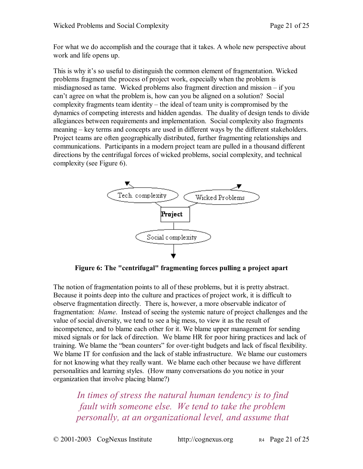For what we do accomplish and the courage that it takes. A whole new perspective about work and life opens up.

This is why it's so useful to distinguish the common element of fragmentation. Wicked problems fragment the process of project work, especially when the problem is misdiagnosed as tame. Wicked problems also fragment direction and mission – if you can't agree on what the problem is, how can you be aligned on a solution? Social complexity fragments team identity – the ideal of team unity is compromised by the dynamics of competing interests and hidden agendas. The duality of design tends to divide allegiances between requirements and implementation. Social complexity also fragments meaning – key terms and concepts are used in different ways by the different stakeholders. Project teams are often geographically distributed, further fragmenting relationships and communications. Participants in a modern project team are pulled in a thousand different directions by the centrifugal forces of wicked problems, social complexity, and technical complexity (see [Figure 6\)](#page-20-0).

<span id="page-20-0"></span>

**Figure 6: The "centrifugal" fragmenting forces pulling a project apart** 

The notion of fragmentation points to all of these problems, but it is pretty abstract. Because it points deep into the culture and practices of project work, it is difficult to observe fragmentation directly. There is, however, a more observable indicator of fragmentation: *blame*. Instead of seeing the systemic nature of project challenges and the value of social diversity, we tend to see a big mess, to view it as the result of incompetence, and to blame each other for it. We blame upper management for sending mixed signals or for lack of direction. We blame HR for poor hiring practices and lack of training. We blame the "bean counters" for over-tight budgets and lack of fiscal flexibility. We blame IT for confusion and the lack of stable infrastructure. We blame our customers for not knowing what they really want. We blame each other because we have different personalities and learning styles. (How many conversations do you notice in your organization that involve placing blame?)

*In times of stress the natural human tendency is to find fault with someone else. We tend to take the problem personally, at an organizational level, and assume that* 

© 2001-2003 CogNexus Institute http://cognexus.org R4 Page 21 of 25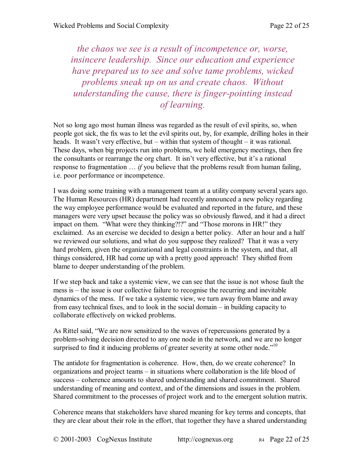*the chaos we see is a result of incompetence or, worse, insincere leadership. Since our education and experience have prepared us to see and solve tame problems, wicked problems sneak up on us and create chaos. Without understanding the cause, there is finger-pointing instead of learning.* 

Not so long ago most human illness was regarded as the result of evil spirits, so, when people got sick, the fix was to let the evil spirits out, by, for example, drilling holes in their heads. It wasn't very effective, but – within that system of thought – it was rational. These days, when big projects run into problems, we hold emergency meetings, then fire the consultants or rearrange the org chart. It isn't very effective, but it's a rational response to fragmentation … *if* you believe that the problems result from human failing, i.e. poor performance or incompetence.

I was doing some training with a management team at a utility company several years ago. The Human Resources (HR) department had recently announced a new policy regarding the way employee performance would be evaluated and reported in the future, and these managers were very upset because the policy was so obviously flawed, and it had a direct impact on them. "What were they thinking?!?" and "Those morons in HR!" they exclaimed. As an exercise we decided to design a better policy. After an hour and a half we reviewed our solutions, and what do you suppose they realized? That it was a very hard problem, given the organizational and legal constraints in the system, and that, all things considered, HR had come up with a pretty good approach! They shifted from blame to deeper understanding of the problem.

If we step back and take a systemic view, we can see that the issue is not whose fault the mess is – the issue is our collective failure to recognise the recurring and inevitable dynamics of the mess. If we take a systemic view, we turn away from blame and away from easy technical fixes, and to look in the social domain – in building capacity to collaborate effectively on wicked problems.

As Rittel said, "We are now sensitized to the waves of repercussions generated by a problem-solving decision directed to any one node in the network, and we are no longer surprised to find it inducing problems of greater severity at some other node."<sup>[10](#page-24-7)</sup>

The antidote for fragmentation is coherence. How, then, do we create coherence? In organizations and project teams – in situations where collaboration is the life blood of success – coherence amounts to shared understanding and shared commitment. Shared understanding of meaning and context, and of the dimensions and issues in the problem. Shared commitment to the processes of project work and to the emergent solution matrix.

Coherence means that stakeholders have shared meaning for key terms and concepts, that they are clear about their role in the effort, that together they have a shared understanding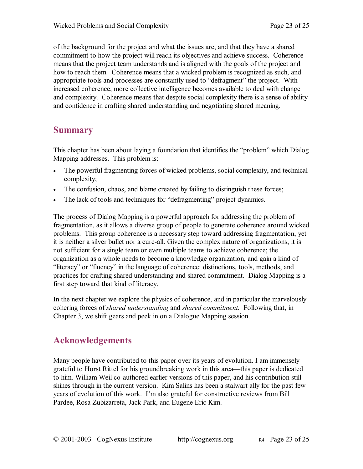of the background for the project and what the issues are, and that they have a shared commitment to how the project will reach its objectives and achieve success. Coherence means that the project team understands and is aligned with the goals of the project and how to reach them. Coherence means that a wicked problem is recognized as such, and appropriate tools and processes are constantly used to "defragment" the project. With increased coherence, more collective intelligence becomes available to deal with change and complexity. Coherence means that despite social complexity there is a sense of ability and confidence in crafting shared understanding and negotiating shared meaning.

#### **Summary**

This chapter has been about laying a foundation that identifies the "problem" which Dialog Mapping addresses. This problem is:

- The powerful fragmenting forces of wicked problems, social complexity, and technical complexity;
- The confusion, chaos, and blame created by failing to distinguish these forces;
- The lack of tools and techniques for "defragmenting" project dynamics.

The process of Dialog Mapping is a powerful approach for addressing the problem of fragmentation, as it allows a diverse group of people to generate coherence around wicked problems. This group coherence is a necessary step toward addressing fragmentation, yet it is neither a silver bullet nor a cure-all. Given the complex nature of organizations, it is not sufficient for a single team or even multiple teams to achieve coherence; the organization as a whole needs to become a knowledge organization, and gain a kind of "literacy" or "fluency" in the language of coherence: distinctions, tools, methods, and practices for crafting shared understanding and shared commitment. Dialog Mapping is a first step toward that kind of literacy.

In the next chapter we explore the physics of coherence, and in particular the marvelously cohering forces of *shared understanding* and *shared commitment.* Following that, in Chapter 3, we shift gears and peek in on a Dialogue Mapping session.

#### **Acknowledgements**

Many people have contributed to this paper over its years of evolution. I am immensely grateful to Horst Rittel for his groundbreaking work in this area—this paper is dedicated to him. William Weil co-authored earlier versions of this paper, and his contribution still shines through in the current version. Kim Salins has been a stalwart ally for the past few years of evolution of this work. I'm also grateful for constructive reviews from Bill Pardee, Rosa Zubizarreta, Jack Park, and Eugene Eric Kim.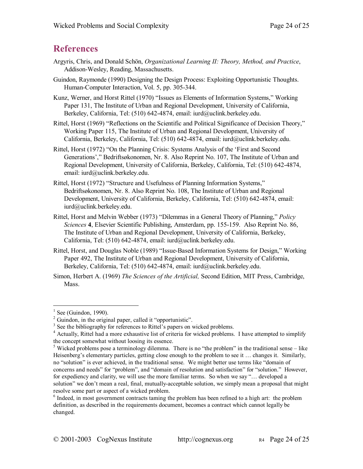#### **References**

- Argyris, Chris, and Donald Schön, *Organizational Learning II: Theory, Method, and Practice*, Addison-Wesley, Reading, Massachusetts.
- Guindon, Raymonde (1990) Designing the Design Process: Exploiting Opportunistic Thoughts. Human-Computer Interaction, Vol. 5, pp. 305-344.
- Kunz, Werner, and Horst Rittel (1970) "Issues as Elements of Information Systems," Working Paper 131, The Institute of Urban and Regional Development, University of California, Berkeley, California, Tel: (510) 642-4874, email: iurd@uclink.berkeley.edu.
- Rittel, Horst (1969) "Reflections on the Scientific and Political Significance of Decision Theory," Working Paper 115, The Institute of Urban and Regional Development, University of California, Berkeley, California, Tel: (510) 642-4874, email: iurd@uclink.berkeley.edu.
- Rittel, Horst (1972) "On the Planning Crisis: Systems Analysis of the 'First and Second Generations'," Bedriftsøkonomen, Nr. 8. Also Reprint No. 107, The Institute of Urban and Regional Development, University of California, Berkeley, California, Tel: (510) 642-4874, email: iurd@uclink.berkeley.edu.
- Rittel, Horst (1972) "Structure and Usefulness of Planning Information Systems," Bedriftsøkonomen, Nr. 8. Also Reprint No. 108, The Institute of Urban and Regional Development, University of California, Berkeley, California, Tel: (510) 642-4874, email: iurd@uclink.berkeley.edu.
- Rittel, Horst and Melvin Webber (1973) "Dilemmas in a General Theory of Planning," *Policy Sciences* **4**, Elsevier Scientific Publishing, Amsterdam, pp. 155-159. Also Reprint No. 86, The Institute of Urban and Regional Development, University of California, Berkeley, California, Tel: (510) 642-4874, email: iurd@uclink.berkeley.edu.
- Rittel, Horst, and Douglas Noble (1989) "Issue-Based Information Systems for Design," Working Paper 492, The Institute of Urban and Regional Development, University of California, Berkeley, California, Tel: (510) 642-4874, email: iurd@uclink.berkeley.edu.
- Simon, Herbert A. (1969) *The Sciences of the Artificial,* Second Edition, MIT Press, Cambridge, Mass.

 $\overline{a}$ 

 $<sup>1</sup>$  See (Guindon, 1990).</sup>

 $2^2$  Guindon, in the original paper, called it "opportunistic".

<sup>&</sup>lt;sup>3</sup> See the bibliography for references to Rittel's papers on wicked problems.

<sup>&</sup>lt;sup>4</sup> Actually, Rittel had a more exhaustive list of criteria for wicked problems. I have attempted to simplify the concept somewhat without loosing its essence.

<sup>&</sup>lt;sup>5</sup> Wicked problems pose a terminology dilemma. There is no "the problem" in the traditional sense – like Heisenberg's elementary particles, getting close enough to the problem to see it … changes it. Similarly, no "solution" is ever achieved, in the traditional sense. We might better use terms like "domain of concerns and needs" for "problem", and "domain of resolution and satisfaction" for "solution." However, for expediency and clarity, we will use the more familiar terms. So when we say "… developed a solution" we don't mean a real, final, mutually-acceptable solution, we simply mean a proposal that might resolve some part or aspect of a wicked problem.

<sup>&</sup>lt;sup>6</sup> Indeed, in most government contracts taming the problem has been refined to a high art: the problem definition, as described in the requirements document, becomes a contract which cannot legally be changed.